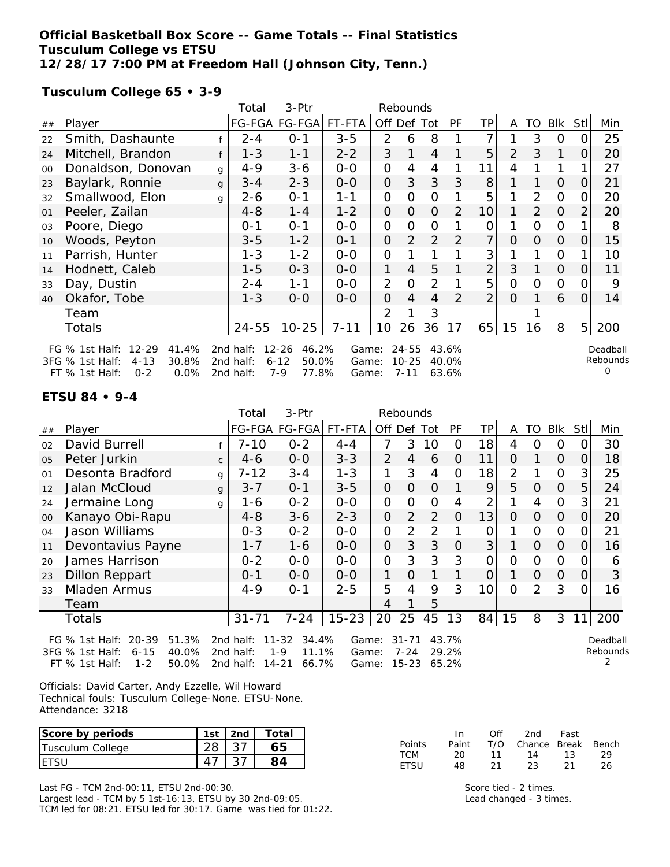#### **Official Basketball Box Score -- Game Totals -- Final Statistics Tusculum College vs ETSU 12/28/17 7:00 PM at Freedom Hall (Johnson City, Tenn.)**

**Tusculum College 65 • 3-9**

|                                                                                                                                                                                                                                                                                                                           |                    |         | Total     | 3-Ptr         |                |                | Rebounds       |                |                |                 |          |                      |                |                |     |
|---------------------------------------------------------------------------------------------------------------------------------------------------------------------------------------------------------------------------------------------------------------------------------------------------------------------------|--------------------|---------|-----------|---------------|----------------|----------------|----------------|----------------|----------------|-----------------|----------|----------------------|----------------|----------------|-----|
| ##                                                                                                                                                                                                                                                                                                                        | Player             |         |           | FG-FGA FG-FGA | FT-FTA         | Off Def        |                | Tot            | PF             | TP              | A        | TO                   | <b>Blk</b>     | Stl            | Min |
| 22                                                                                                                                                                                                                                                                                                                        | Smith, Dashaunte   |         | $2 - 4$   | $0 - 1$       | $3 - 5$        | 2              | 6              | 8              |                | 7               |          | 3                    | 0              | O              | 25  |
| 24                                                                                                                                                                                                                                                                                                                        | Mitchell, Brandon  | f       | $1 - 3$   | $1 - 1$       | $2 - 2$        | 3              |                | 4              |                | 5               | 2        | 3                    | 1              | O              | 20  |
| $00\,$                                                                                                                                                                                                                                                                                                                    | Donaldson, Donovan | g       | $4 - 9$   | $3 - 6$       | $0-0$          | O              | 4              | 4              |                | 11              | 4        |                      |                |                | 27  |
| 23                                                                                                                                                                                                                                                                                                                        | Baylark, Ronnie    | g       | $3 - 4$   | $2 - 3$       | $0-0$          | $\overline{O}$ | 3              | 3              | 3              | 8               |          |                      | $\Omega$       | 0              | 21  |
| 32                                                                                                                                                                                                                                                                                                                        | Smallwood, Elon    | q       | 2-6       | $0 - 1$       | $1 - 1$        | O              | 0              | 0              |                | 5               |          | 2                    | 0              | Ο              | 20  |
| 01                                                                                                                                                                                                                                                                                                                        | Peeler, Zailan     |         | $4 - 8$   | $1 - 4$       | $1 - 2$        | $\overline{O}$ | 0              | 0              | 2              | 10 <sup>1</sup> | 1        | 2                    | $\Omega$       | $\overline{2}$ | 20  |
| 03                                                                                                                                                                                                                                                                                                                        | Poore, Diego       |         | $0 - 1$   | $0 - 1$       | $0-0$          | O              | 0              | $\mathcal{O}$  |                | 0               |          | O                    | $\mathcal{O}$  |                | 8   |
| 10                                                                                                                                                                                                                                                                                                                        | Woods, Peyton      | $3 - 5$ | $1 - 2$   | $0 - 1$       | $\overline{O}$ | 2              | 2              | 2              | $\overline{7}$ | O               | $\Omega$ | $\Omega$             | 0              | 15             |     |
| 11                                                                                                                                                                                                                                                                                                                        | Parrish, Hunter    |         | $1 - 3$   | $1 - 2$       | $0-0$          | 0              |                | 1              |                | 3               |          | 1                    | $\mathcal{O}$  |                | 10  |
| 14                                                                                                                                                                                                                                                                                                                        | Hodnett, Caleb     |         | $1 - 5$   | $0 - 3$       | $O-O$          | 1              | 4              | 5              | $\mathbf{1}$   | $\overline{2}$  | 3        | $\mathbf{1}$         | $\Omega$       | 0              | 11  |
| 33                                                                                                                                                                                                                                                                                                                        | Day, Dustin        |         | $2 - 4$   | $1 - 1$       | $0-0$          | $\overline{2}$ | $\overline{O}$ | $\overline{2}$ | 1              | 5               | O        | $\Omega$             | $\overline{O}$ |                | 9   |
| 40                                                                                                                                                                                                                                                                                                                        | Okafor, Tobe       |         | $1 - 3$   | $0-0$         | $O-O$          | 0              | 4              | 4              | $\overline{2}$ | $\overline{2}$  | $\Omega$ |                      | 6              | 0              | 14  |
|                                                                                                                                                                                                                                                                                                                           | Team               |         |           |               |                | 2              |                | 3              |                |                 |          |                      |                |                |     |
|                                                                                                                                                                                                                                                                                                                           | Totals             |         | $24 - 55$ | $10 - 25$     | $7 - 11$       | 10             | 26             | 36             | 17             | 65              | 15       | 16                   | 8              | 5 <sup>1</sup> | 200 |
| $12 - 29$<br>41.4%<br>43.6%<br>FG $%$ 1st Half:<br>2 $nd$ half:<br>$12 - 26$<br>46.2%<br>24-55<br>Game:<br>30.8%<br>$6 - 12$<br>50.0%<br>$10 - 25$<br>40.0%<br>3FG % 1st Half:<br>$4 - 13$<br>2nd half:<br>Game:<br>0<br>$7 - 9$<br>FT % 1st Half:<br>$0 - 2$<br>0.0%<br>77.8%<br>$7 - 11$<br>63.6%<br>2nd half:<br>Game: |                    |         |           |               |                |                |                |                |                |                 |          | Deadball<br>Rebounds |                |                |     |

#### **ETSU 84 • 9-4**

|                |                               |              | Total     | $3-Ptr$               | Rebounds  |                |                |                |           |                 |                |                |            |                |          |
|----------------|-------------------------------|--------------|-----------|-----------------------|-----------|----------------|----------------|----------------|-----------|-----------------|----------------|----------------|------------|----------------|----------|
| ##             | Player                        |              |           | FG-FGA FG-FGA         | FT-FTA    |                | Off Def Tot    |                | <b>PF</b> | ΤP              | A              | TO             | <b>BIK</b> | Stll           | Min      |
| 02             | David Burrell                 |              | $7 - 10$  | $0 - 2$               | $4 - 4$   | 7              | 3              | 10             | 0         | 18 <sub>1</sub> | 4              | $\Omega$       | 0          | 0              | 30       |
| 0 <sub>5</sub> | Peter Jurkin                  | $\mathsf{C}$ | $4-6$     | $0 - 0$               | $3 - 3$   | $\overline{2}$ | $\overline{4}$ | 6              | $\Omega$  | 11              | $\Omega$       |                | $\Omega$   | 0              | 18       |
| 01             | Desonta Bradford              | g            | $7 - 12$  | $3 - 4$               | $1 - 3$   |                | 3              | 4              | $\Omega$  | 18              | $\overline{2}$ |                | $\Omega$   | 3              | 25       |
| 12             | Jalan McCloud                 | g            | $3 - 7$   | $0 - 1$               | $3 - 5$   | $\overline{O}$ | $\overline{O}$ | $\overline{O}$ |           | 9               | 5              | $\Omega$       | $\Omega$   | 5              | 24       |
| 24             | Jermaine Long                 | g            | 1-6       | $0 - 2$               | $0 - 0$   | $\mathbf{O}$   | $\Omega$       | $\Omega$       | 4         | $\overline{2}$  |                | 4              | $\Omega$   | 3              | 21       |
| 00             | Kanayo Obi-Rapu               |              | $4 - 8$   | $3 - 6$               | $2 - 3$   | $\Omega$       | 2              | 2              | $\Omega$  | 13              | $\Omega$       | $\Omega$       | $\Omega$   | $\overline{O}$ | 20       |
| 04             | Jason Williams                |              | $0 - 3$   | $0 - 2$               | $0 - 0$   | $\Omega$       | $\overline{2}$ | 2              |           | Ω               |                | $\Omega$       | $\Omega$   | $\Omega$       | 21       |
| 11             | Devontavius Payne             |              | $1 - 7$   | $1 - 6$               | $O - O$   | $\Omega$       | 3              | 3              | $\Omega$  | 3               |                | $\Omega$       | $\Omega$   | $\Omega$       | 16       |
| 20             | James Harrison                |              | $0 - 2$   | $0-0$                 | $0-0$     | $\mathbf{O}$   | 3              | 3              | 3         | $\overline{O}$  | 0              | $\Omega$       | $\Omega$   | 0              | 6        |
| 23             | <b>Dillon Reppart</b>         |              | $0 - 1$   | $0 - 0$               | $0 - 0$   | 1              | $\Omega$       |                |           | $\overline{O}$  |                | $\Omega$       | $\Omega$   | $\Omega$       | 3        |
| 33             | Mladen Armus                  |              | $4 - 9$   | $O - 1$               | $2 - 5$   | 5              | 4              | 9              | 3         | 10              | $\Omega$       | $\overline{2}$ | 3          | $\Omega$       | 16       |
|                | Team                          |              |           |                       |           | 4              |                | 5              |           |                 |                |                |            |                |          |
|                | Totals                        |              | $31 - 71$ | $7 - 24$              | $15 - 23$ | 20             | 25             | 45             | 13        | 84              | 15             | 8              | 3          | 11             | 200      |
|                | FG % 1st Half: 20-39<br>51.3% |              |           | 2nd half: 11-32 34.4% | Game:     |                | 31-71          |                | 43.7%     |                 |                |                |            |                | Deadball |

3FG % 1st Half: 6-15 40.0% FT % 1st Half: 1-2 50.0% 2nd half: 1-9 11.1% 2nd half: 14-21 66.7% Game: 15-23 65.2%

Game: 7-24 29.2%

Deadball Rebounds 2

Officials: David Carter, Andy Ezzelle, Wil Howard Technical fouls: Tusculum College-None. ETSU-None. Attendance: 3218

| Score by periods | 1st | 2 <sub>nd</sub> | Total |
|------------------|-----|-----------------|-------|
| Tusculum College |     |                 |       |
|                  |     |                 |       |

Last FG - TCM 2nd-00:11, ETSU 2nd-00:30.

|               | In.   | Off | 2nd                          | Fast |    |
|---------------|-------|-----|------------------------------|------|----|
| <b>Points</b> | Paint |     | - T/O - Chance Break - Bench |      |    |
| TCM           | 20.   | 11  | 14 13                        |      | 29 |
| ETSU          | 48.   | 21  | -23-                         | - 21 | 26 |

Score tied - 2 times. Lead changed - 3 times.

Largest lead - TCM by 5 1st-16:13, ETSU by 30 2nd-09:05. TCM led for 08:21. ETSU led for 30:17. Game was tied for 01:22.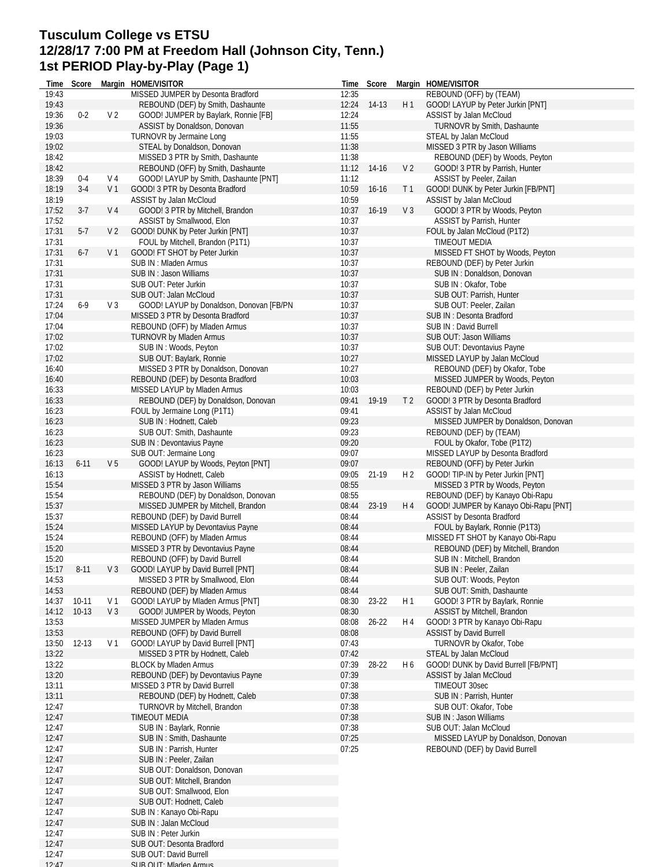### **Tusculum College vs ETSU 12/28/17 7:00 PM at Freedom Hall (Johnson City, Tenn.) 1st PERIOD Play-by-Play (Page 1)**

| Time  | Score    |                | Margin HOME/VISITOR                      |       | Time Score  |                | Margin HOME/VISITOR                   |
|-------|----------|----------------|------------------------------------------|-------|-------------|----------------|---------------------------------------|
| 19:43 |          |                | MISSED JUMPER by Desonta Bradford        | 12:35 |             |                | REBOUND (OFF) by (TEAM)               |
| 19:43 |          |                | REBOUND (DEF) by Smith, Dashaunte        | 12:24 | $14-13$     | H 1            | GOOD! LAYUP by Peter Jurkin [PNT]     |
| 19:36 | $0 - 2$  | V <sub>2</sub> | GOOD! JUMPER by Baylark, Ronnie [FB]     | 12:24 |             |                | ASSIST by Jalan McCloud               |
| 19:36 |          |                | ASSIST by Donaldson, Donovan             | 11:55 |             |                | TURNOVR by Smith, Dashaunte           |
| 19:03 |          |                | TURNOVR by Jermaine Long                 | 11:55 |             |                | STEAL by Jalan McCloud                |
| 19:02 |          |                | STEAL by Donaldson, Donovan              | 11:38 |             |                | MISSED 3 PTR by Jason Williams        |
| 18:42 |          |                | MISSED 3 PTR by Smith, Dashaunte         | 11:38 |             |                | REBOUND (DEF) by Woods, Peyton        |
| 18:42 |          |                | REBOUND (OFF) by Smith, Dashaunte        |       | 11:12 14-16 | V <sub>2</sub> | GOOD! 3 PTR by Parrish, Hunter        |
| 18:39 | $0 - 4$  | V 4            | GOOD! LAYUP by Smith, Dashaunte [PNT]    | 11:12 |             |                | ASSIST by Peeler, Zailan              |
| 18:19 | $3-4$    | V <sub>1</sub> | GOOD! 3 PTR by Desonta Bradford          | 10:59 | $16 - 16$   | T <sub>1</sub> | GOOD! DUNK by Peter Jurkin [FB/PNT]   |
| 18:19 |          |                | ASSIST by Jalan McCloud                  | 10:59 |             |                | ASSIST by Jalan McCloud               |
| 17:52 | $3-7$    | V 4            | GOOD! 3 PTR by Mitchell, Brandon         | 10:37 | 16-19       | V <sub>3</sub> | GOOD! 3 PTR by Woods, Peyton          |
| 17:52 |          |                | ASSIST by Smallwood, Elon                | 10:37 |             |                | ASSIST by Parrish, Hunter             |
| 17:31 | $5-7$    | V <sub>2</sub> | GOOD! DUNK by Peter Jurkin [PNT]         | 10:37 |             |                | FOUL by Jalan McCloud (P1T2)          |
| 17:31 |          |                | FOUL by Mitchell, Brandon (P1T1)         | 10:37 |             |                | TIMEOUT MEDIA                         |
| 17:31 | $6-7$    | V 1            | GOOD! FT SHOT by Peter Jurkin            | 10:37 |             |                | MISSED FT SHOT by Woods, Peyton       |
| 17:31 |          |                | SUB IN: Mladen Armus                     | 10:37 |             |                | REBOUND (DEF) by Peter Jurkin         |
| 17:31 |          |                | SUB IN: Jason Williams                   | 10:37 |             |                | SUB IN: Donaldson, Donovan            |
| 17:31 |          |                | SUB OUT: Peter Jurkin                    | 10:37 |             |                | SUB IN: Okafor, Tobe                  |
| 17:31 |          |                | SUB OUT: Jalan McCloud                   | 10:37 |             |                | SUB OUT: Parrish, Hunter              |
| 17:24 | $6-9$    | $V_3$          | GOOD! LAYUP by Donaldson, Donovan [FB/PN | 10:37 |             |                | SUB OUT: Peeler, Zailan               |
| 17:04 |          |                | MISSED 3 PTR by Desonta Bradford         | 10:37 |             |                | SUB IN: Desonta Bradford              |
| 17:04 |          |                | REBOUND (OFF) by Mladen Armus            | 10:37 |             |                | SUB IN: David Burrell                 |
| 17:02 |          |                | <b>TURNOVR by Mladen Armus</b>           | 10:37 |             |                | SUB OUT: Jason Williams               |
| 17:02 |          |                | SUB IN : Woods, Peyton                   | 10:37 |             |                | SUB OUT: Devontavius Payne            |
| 17:02 |          |                | SUB OUT: Baylark, Ronnie                 | 10:27 |             |                | MISSED LAYUP by Jalan McCloud         |
| 16:40 |          |                | MISSED 3 PTR by Donaldson, Donovan       | 10:27 |             |                | REBOUND (DEF) by Okafor, Tobe         |
| 16:40 |          |                | REBOUND (DEF) by Desonta Bradford        | 10:03 |             |                | MISSED JUMPER by Woods, Peyton        |
| 16:33 |          |                | MISSED LAYUP by Mladen Armus             | 10:03 |             |                | REBOUND (DEF) by Peter Jurkin         |
| 16:33 |          |                | REBOUND (DEF) by Donaldson, Donovan      | 09:41 | 19-19       | T <sub>2</sub> | GOOD! 3 PTR by Desonta Bradford       |
| 16:23 |          |                | FOUL by Jermaine Long (P1T1)             | 09:41 |             |                | ASSIST by Jalan McCloud               |
| 16:23 |          |                | SUB IN: Hodnett, Caleb                   | 09:23 |             |                | MISSED JUMPER by Donaldson, Donovan   |
| 16:23 |          |                | SUB OUT: Smith, Dashaunte                | 09:23 |             |                | REBOUND (DEF) by (TEAM)               |
| 16:23 |          |                | <b>SUB IN: Devontavius Payne</b>         | 09:20 |             |                | FOUL by Okafor, Tobe (P1T2)           |
| 16:23 |          |                | SUB OUT: Jermaine Long                   | 09:07 |             |                | MISSED LAYUP by Desonta Bradford      |
| 16:13 | $6 - 11$ | V <sub>5</sub> | GOOD! LAYUP by Woods, Peyton [PNT]       | 09:07 |             |                | REBOUND (OFF) by Peter Jurkin         |
| 16:13 |          |                | ASSIST by Hodnett, Caleb                 | 09:05 | 21-19       | H <sub>2</sub> | GOOD! TIP-IN by Peter Jurkin [PNT]    |
| 15:54 |          |                | MISSED 3 PTR by Jason Williams           | 08:55 |             |                | MISSED 3 PTR by Woods, Peyton         |
| 15:54 |          |                | REBOUND (DEF) by Donaldson, Donovan      | 08:55 |             |                | REBOUND (DEF) by Kanayo Obi-Rapu      |
| 15:37 |          |                | MISSED JUMPER by Mitchell, Brandon       | 08:44 | 23-19       | H 4            | GOOD! JUMPER by Kanayo Obi-Rapu [PNT] |
| 15:37 |          |                | REBOUND (DEF) by David Burrell           | 08:44 |             |                | <b>ASSIST by Desonta Bradford</b>     |
| 15:24 |          |                | MISSED LAYUP by Devontavius Payne        | 08:44 |             |                | FOUL by Baylark, Ronnie (P1T3)        |
| 15:24 |          |                | REBOUND (OFF) by Mladen Armus            | 08:44 |             |                | MISSED FT SHOT by Kanayo Obi-Rapu     |
| 15:20 |          |                | MISSED 3 PTR by Devontavius Payne        | 08:44 |             |                | REBOUND (DEF) by Mitchell, Brandon    |
| 15:20 |          |                | REBOUND (OFF) by David Burrell           | 08:44 |             |                | SUB IN: Mitchell, Brandon             |
| 15:17 | $8 - 11$ | V3             | GOOD! LAYUP by David Burrell [PNT]       | 08:44 |             |                | SUB IN: Peeler, Zailan                |
| 14:53 |          |                | MISSED 3 PTR by Smallwood, Elon          | 08:44 |             |                | SUB OUT: Woods, Peyton                |
| 14:53 |          |                | REBOUND (DEF) by Mladen Armus            | 08:44 |             |                | SUB OUT: Smith, Dashaunte             |
| 14:37 | 10-11    | V 1            | GOOD! LAYUP by Mladen Armus [PNT]        | 08:30 | 23-22       | H1             | GOOD! 3 PTR by Baylark, Ronnie        |
| 14:12 | $10-13$  | $V_3$          | GOOD! JUMPER by Woods, Peyton            | 08:30 |             |                | ASSIST by Mitchell, Brandon           |
| 13:53 |          |                | MISSED JUMPER by Mladen Armus            | 08:08 | $26 - 22$   | H 4            | GOOD! 3 PTR by Kanayo Obi-Rapu        |
| 13:53 |          |                | REBOUND (OFF) by David Burrell           | 08:08 |             |                | <b>ASSIST by David Burrell</b>        |
| 13:50 | $12-13$  | V 1            | GOOD! LAYUP by David Burrell [PNT]       | 07:43 |             |                | TURNOVR by Okafor, Tobe               |
| 13:22 |          |                | MISSED 3 PTR by Hodnett, Caleb           | 07:42 |             |                | STEAL by Jalan McCloud                |
| 13:22 |          |                | <b>BLOCK by Mladen Armus</b>             | 07:39 | 28-22       | H 6            | GOOD! DUNK by David Burrell [FB/PNT]  |
| 13:20 |          |                | REBOUND (DEF) by Devontavius Payne       | 07:39 |             |                | ASSIST by Jalan McCloud               |
| 13:11 |          |                | MISSED 3 PTR by David Burrell            | 07:38 |             |                | TIMEOUT 30sec                         |
| 13:11 |          |                | REBOUND (DEF) by Hodnett, Caleb          | 07:38 |             |                | SUB IN: Parrish, Hunter               |
| 12:47 |          |                | <b>TURNOVR by Mitchell, Brandon</b>      | 07:38 |             |                | SUB OUT: Okafor, Tobe                 |
| 12:47 |          |                | <b>TIMEOUT MEDIA</b>                     | 07:38 |             |                | SUB IN : Jason Williams               |
| 12:47 |          |                | SUB IN: Baylark, Ronnie                  | 07:38 |             |                | SUB OUT: Jalan McCloud                |
| 12:47 |          |                | SUB IN: Smith, Dashaunte                 | 07:25 |             |                | MISSED LAYUP by Donaldson, Donovan    |
| 12:47 |          |                | SUB IN: Parrish, Hunter                  | 07:25 |             |                | REBOUND (DEF) by David Burrell        |
| 12:47 |          |                | SUB IN : Peeler, Zailan                  |       |             |                |                                       |
| 12:47 |          |                | SUB OUT: Donaldson, Donovan              |       |             |                |                                       |
| 12:47 |          |                | SUB OUT: Mitchell, Brandon               |       |             |                |                                       |
| 12:47 |          |                | SUB OUT: Smallwood, Elon                 |       |             |                |                                       |
| 12:47 |          |                | SUB OUT: Hodnett, Caleb                  |       |             |                |                                       |
| 12:47 |          |                | SUB IN: Kanayo Obi-Rapu                  |       |             |                |                                       |
| 12:47 |          |                | SUB IN: Jalan McCloud                    |       |             |                |                                       |
| 12:47 |          |                | SUB IN : Peter Jurkin                    |       |             |                |                                       |
| 12:47 |          |                | SUB OUT: Desonta Bradford                |       |             |                |                                       |
| 12:47 |          |                | SUB OUT: David Burrell                   |       |             |                |                                       |
| 12.17 |          |                | CHR OHT: Mladon Armus                    |       |             |                |                                       |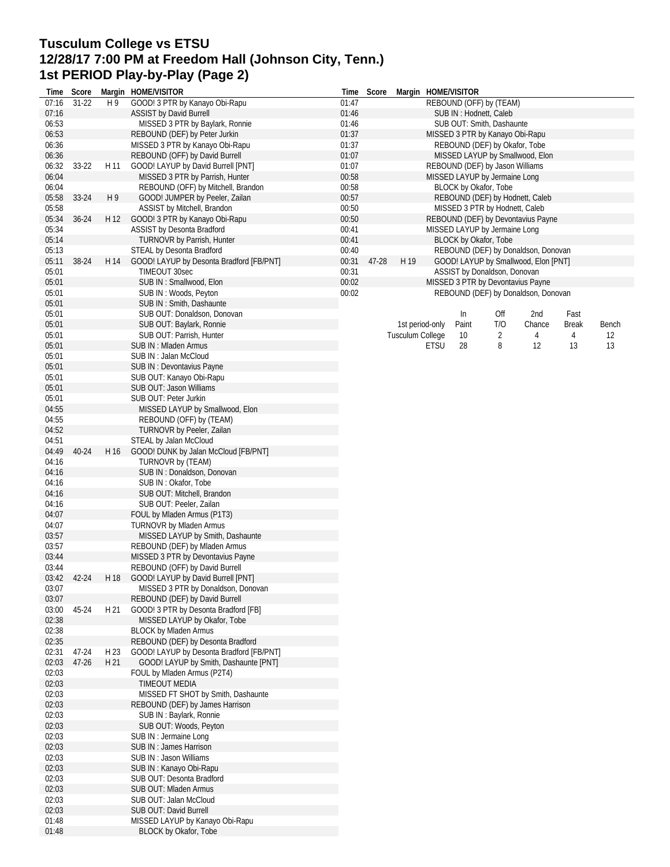## **Tusculum College vs ETSU 12/28/17 7:00 PM at Freedom Hall (Johnson City, Tenn.) 1st PERIOD Play-by-Play (Page 2)**

| Time  | Score       |                | Margin HOME/VISITOR                                          | Time  | Score |                         |                 | Margin HOME/VISITOR |                                 |                                      |              |       |
|-------|-------------|----------------|--------------------------------------------------------------|-------|-------|-------------------------|-----------------|---------------------|---------------------------------|--------------------------------------|--------------|-------|
| 07:16 | $31 - 22$   | H 9            | GOOD! 3 PTR by Kanayo Obi-Rapu                               | 01:47 |       |                         |                 |                     | REBOUND (OFF) by (TEAM)         |                                      |              |       |
| 07:16 |             |                | <b>ASSIST by David Burrell</b>                               | 01:46 |       |                         |                 |                     | SUB IN: Hodnett, Caleb          |                                      |              |       |
| 06:53 |             |                | MISSED 3 PTR by Baylark, Ronnie                              | 01:46 |       |                         |                 |                     | SUB OUT: Smith, Dashaunte       |                                      |              |       |
| 06:53 |             |                | REBOUND (DEF) by Peter Jurkin                                | 01:37 |       |                         |                 |                     | MISSED 3 PTR by Kanayo Obi-Rapu |                                      |              |       |
| 06:36 |             |                | MISSED 3 PTR by Kanayo Obi-Rapu                              | 01:37 |       |                         |                 |                     | REBOUND (DEF) by Okafor, Tobe   |                                      |              |       |
| 06:36 |             |                | REBOUND (OFF) by David Burrell                               | 01:07 |       |                         |                 |                     |                                 | MISSED LAYUP by Smallwood, Elon      |              |       |
| 06:32 | $33-22$     | H 11           | GOOD! LAYUP by David Burrell [PNT]                           | 01:07 |       |                         |                 |                     | REBOUND (DEF) by Jason Williams |                                      |              |       |
| 06:04 |             |                | MISSED 3 PTR by Parrish, Hunter                              | 00:58 |       |                         |                 |                     | MISSED LAYUP by Jermaine Long   |                                      |              |       |
| 06:04 |             |                | REBOUND (OFF) by Mitchell, Brandon                           | 00:58 |       |                         |                 |                     | BLOCK by Okafor, Tobe           |                                      |              |       |
| 05:58 | 33-24       | H <sub>9</sub> | GOOD! JUMPER by Peeler, Zailan                               | 00:57 |       |                         |                 |                     |                                 | REBOUND (DEF) by Hodnett, Caleb      |              |       |
| 05:58 |             |                | ASSIST by Mitchell, Brandon                                  | 00:50 |       |                         |                 |                     | MISSED 3 PTR by Hodnett, Caleb  |                                      |              |       |
| 05:34 | $36 - 24$   | H 12           | GOOD! 3 PTR by Kanayo Obi-Rapu                               | 00:50 |       |                         |                 |                     |                                 | REBOUND (DEF) by Devontavius Payne   |              |       |
| 05:34 |             |                | <b>ASSIST by Desonta Bradford</b>                            | 00:41 |       |                         |                 |                     | MISSED LAYUP by Jermaine Long   |                                      |              |       |
| 05:14 |             |                | <b>TURNOVR by Parrish, Hunter</b>                            | 00:41 |       |                         |                 |                     | BLOCK by Okafor, Tobe           |                                      |              |       |
| 05:13 |             |                | STEAL by Desonta Bradford                                    | 00:40 |       |                         |                 |                     |                                 | REBOUND (DEF) by Donaldson, Donovan  |              |       |
| 05:11 | 38-24       | H 14           | GOOD! LAYUP by Desonta Bradford [FB/PNT]                     | 00:31 | 47-28 | H 19                    |                 |                     |                                 | GOOD! LAYUP by Smallwood, Elon [PNT] |              |       |
| 05:01 |             |                | TIMEOUT 30sec                                                | 00:31 |       |                         |                 |                     | ASSIST by Donaldson, Donovan    |                                      |              |       |
| 05:01 |             |                | SUB IN: Smallwood, Elon                                      | 00:02 |       |                         |                 |                     |                                 | MISSED 3 PTR by Devontavius Payne    |              |       |
| 05:01 |             |                | SUB IN: Woods, Peyton                                        | 00:02 |       |                         |                 |                     |                                 | REBOUND (DEF) by Donaldson, Donovan  |              |       |
| 05:01 |             |                | SUB IN: Smith, Dashaunte                                     |       |       |                         |                 |                     |                                 |                                      |              |       |
| 05:01 |             |                | SUB OUT: Donaldson, Donovan                                  |       |       |                         |                 | In                  | Off                             | 2nd                                  | Fast         |       |
| 05:01 |             |                | SUB OUT: Baylark, Ronnie                                     |       |       |                         | 1st period-only | Paint               | T/O                             | Chance                               | <b>Break</b> | Bench |
| 05:01 |             |                | SUB OUT: Parrish, Hunter                                     |       |       | <b>Tusculum College</b> |                 | 10                  | 2                               | 4                                    | 4            | 12    |
| 05:01 |             |                | SUB IN: Mladen Armus                                         |       |       |                         | <b>ETSU</b>     | 28                  | 8                               | 12                                   | 13           | 13    |
| 05:01 |             |                | SUB IN: Jalan McCloud                                        |       |       |                         |                 |                     |                                 |                                      |              |       |
| 05:01 |             |                |                                                              |       |       |                         |                 |                     |                                 |                                      |              |       |
| 05:01 |             |                | <b>SUB IN: Devontavius Payne</b><br>SUB OUT: Kanayo Obi-Rapu |       |       |                         |                 |                     |                                 |                                      |              |       |
|       |             |                |                                                              |       |       |                         |                 |                     |                                 |                                      |              |       |
| 05:01 |             |                | SUB OUT: Jason Williams                                      |       |       |                         |                 |                     |                                 |                                      |              |       |
| 05:01 |             |                | SUB OUT: Peter Jurkin                                        |       |       |                         |                 |                     |                                 |                                      |              |       |
| 04:55 |             |                | MISSED LAYUP by Smallwood, Elon                              |       |       |                         |                 |                     |                                 |                                      |              |       |
| 04:55 |             |                | REBOUND (OFF) by (TEAM)                                      |       |       |                         |                 |                     |                                 |                                      |              |       |
| 04:52 |             |                | TURNOVR by Peeler, Zailan                                    |       |       |                         |                 |                     |                                 |                                      |              |       |
| 04:51 |             |                | STEAL by Jalan McCloud                                       |       |       |                         |                 |                     |                                 |                                      |              |       |
| 04:49 | 40-24       | H 16           | GOOD! DUNK by Jalan McCloud [FB/PNT]                         |       |       |                         |                 |                     |                                 |                                      |              |       |
| 04:16 |             |                | TURNOVR by (TEAM)                                            |       |       |                         |                 |                     |                                 |                                      |              |       |
| 04:16 |             |                | SUB IN: Donaldson, Donovan                                   |       |       |                         |                 |                     |                                 |                                      |              |       |
| 04:16 |             |                | SUB IN: Okafor, Tobe                                         |       |       |                         |                 |                     |                                 |                                      |              |       |
| 04:16 |             |                | SUB OUT: Mitchell, Brandon                                   |       |       |                         |                 |                     |                                 |                                      |              |       |
| 04:16 |             |                | SUB OUT: Peeler, Zailan                                      |       |       |                         |                 |                     |                                 |                                      |              |       |
| 04:07 |             |                | FOUL by Mladen Armus (P1T3)                                  |       |       |                         |                 |                     |                                 |                                      |              |       |
| 04:07 |             |                | TURNOVR by Mladen Armus                                      |       |       |                         |                 |                     |                                 |                                      |              |       |
| 03:57 |             |                | MISSED LAYUP by Smith, Dashaunte                             |       |       |                         |                 |                     |                                 |                                      |              |       |
| 03:57 |             |                | REBOUND (DEF) by Mladen Armus                                |       |       |                         |                 |                     |                                 |                                      |              |       |
| 03:44 |             |                | MISSED 3 PTR by Devontavius Payne                            |       |       |                         |                 |                     |                                 |                                      |              |       |
| 03:44 |             |                | REBOUND (OFF) by David Burrell                               |       |       |                         |                 |                     |                                 |                                      |              |       |
|       | 03:42 42-24 | H 18           | GOOD! LAYUP by David Burrell [PNT]                           |       |       |                         |                 |                     |                                 |                                      |              |       |
| 03:07 |             |                | MISSED 3 PTR by Donaldson, Donovan                           |       |       |                         |                 |                     |                                 |                                      |              |       |
| 03:07 |             |                | REBOUND (DEF) by David Burrell                               |       |       |                         |                 |                     |                                 |                                      |              |       |
| 03:00 | 45-24       | H 21           | GOOD! 3 PTR by Desonta Bradford [FB]                         |       |       |                         |                 |                     |                                 |                                      |              |       |
| 02:38 |             |                | MISSED LAYUP by Okafor, Tobe                                 |       |       |                         |                 |                     |                                 |                                      |              |       |
| 02:38 |             |                | <b>BLOCK by Mladen Armus</b>                                 |       |       |                         |                 |                     |                                 |                                      |              |       |
| 02:35 |             |                | REBOUND (DEF) by Desonta Bradford                            |       |       |                         |                 |                     |                                 |                                      |              |       |
| 02:31 | 47-24       | H 23           | GOOD! LAYUP by Desonta Bradford [FB/PNT]                     |       |       |                         |                 |                     |                                 |                                      |              |       |
| 02:03 | $47 - 26$   | H 21           | GOOD! LAYUP by Smith, Dashaunte [PNT]                        |       |       |                         |                 |                     |                                 |                                      |              |       |
| 02:03 |             |                | FOUL by Mladen Armus (P2T4)                                  |       |       |                         |                 |                     |                                 |                                      |              |       |
| 02:03 |             |                | TIMEOUT MEDIA                                                |       |       |                         |                 |                     |                                 |                                      |              |       |
| 02:03 |             |                | MISSED FT SHOT by Smith, Dashaunte                           |       |       |                         |                 |                     |                                 |                                      |              |       |
| 02:03 |             |                | REBOUND (DEF) by James Harrison                              |       |       |                         |                 |                     |                                 |                                      |              |       |
| 02:03 |             |                | SUB IN: Baylark, Ronnie                                      |       |       |                         |                 |                     |                                 |                                      |              |       |
| 02:03 |             |                | SUB OUT: Woods, Peyton                                       |       |       |                         |                 |                     |                                 |                                      |              |       |
| 02:03 |             |                | SUB IN : Jermaine Long                                       |       |       |                         |                 |                     |                                 |                                      |              |       |
| 02:03 |             |                | SUB IN: James Harrison                                       |       |       |                         |                 |                     |                                 |                                      |              |       |
| 02:03 |             |                | SUB IN: Jason Williams                                       |       |       |                         |                 |                     |                                 |                                      |              |       |
| 02:03 |             |                | SUB IN: Kanayo Obi-Rapu                                      |       |       |                         |                 |                     |                                 |                                      |              |       |
| 02:03 |             |                | SUB OUT: Desonta Bradford                                    |       |       |                         |                 |                     |                                 |                                      |              |       |
| 02:03 |             |                | SUB OUT: Mladen Armus                                        |       |       |                         |                 |                     |                                 |                                      |              |       |
| 02:03 |             |                | SUB OUT: Jalan McCloud                                       |       |       |                         |                 |                     |                                 |                                      |              |       |
| 02:03 |             |                | SUB OUT: David Burrell                                       |       |       |                         |                 |                     |                                 |                                      |              |       |
| 01:48 |             |                |                                                              |       |       |                         |                 |                     |                                 |                                      |              |       |
|       |             |                | MISSED LAYUP by Kanayo Obi-Rapu<br>BLOCK by Okafor, Tobe     |       |       |                         |                 |                     |                                 |                                      |              |       |
| 01:48 |             |                |                                                              |       |       |                         |                 |                     |                                 |                                      |              |       |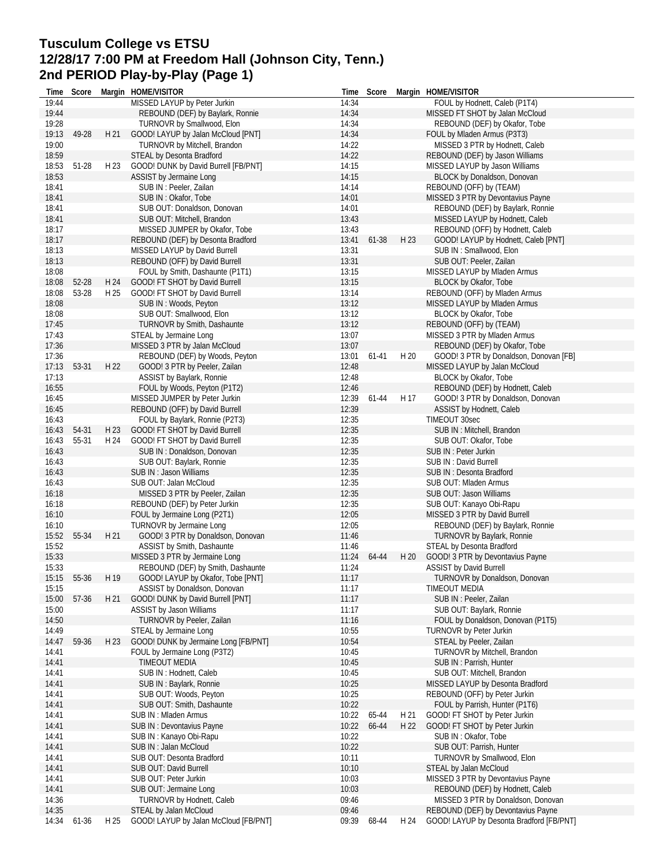# **Tusculum College vs ETSU 12/28/17 7:00 PM at Freedom Hall (Johnson City, Tenn.) 2nd PERIOD Play-by-Play (Page 1)**

| Time  | Score |      | Margin HOME/VISITOR                   |       | Time Score |                 | Margin HOME/VISITOR                      |
|-------|-------|------|---------------------------------------|-------|------------|-----------------|------------------------------------------|
| 19:44 |       |      | MISSED LAYUP by Peter Jurkin          | 14:34 |            |                 | FOUL by Hodnett, Caleb (P1T4)            |
| 19:44 |       |      | REBOUND (DEF) by Baylark, Ronnie      | 14:34 |            |                 | MISSED FT SHOT by Jalan McCloud          |
| 19:28 |       |      | TURNOVR by Smallwood, Elon            | 14:34 |            |                 | REBOUND (DEF) by Okafor, Tobe            |
| 19:13 | 49-28 | H 21 | GOOD! LAYUP by Jalan McCloud [PNT]    | 14:34 |            |                 | FOUL by Mladen Armus (P3T3)              |
| 19:00 |       |      | TURNOVR by Mitchell, Brandon          | 14:22 |            |                 | MISSED 3 PTR by Hodnett, Caleb           |
| 18:59 |       |      | STEAL by Desonta Bradford             | 14:22 |            |                 | REBOUND (DEF) by Jason Williams          |
| 18:53 | 51-28 | H 23 | GOOD! DUNK by David Burrell [FB/PNT]  | 14:15 |            |                 | MISSED LAYUP by Jason Williams           |
| 18:53 |       |      | ASSIST by Jermaine Long               | 14:15 |            |                 | BLOCK by Donaldson, Donovan              |
| 18:41 |       |      | SUB IN : Peeler, Zailan               | 14:14 |            |                 | REBOUND (OFF) by (TEAM)                  |
| 18:41 |       |      | SUB IN: Okafor, Tobe                  | 14:01 |            |                 | MISSED 3 PTR by Devontavius Payne        |
| 18:41 |       |      | SUB OUT: Donaldson, Donovan           | 14:01 |            |                 | REBOUND (DEF) by Baylark, Ronnie         |
| 18:41 |       |      | SUB OUT: Mitchell, Brandon            | 13:43 |            |                 | MISSED LAYUP by Hodnett, Caleb           |
| 18:17 |       |      | MISSED JUMPER by Okafor, Tobe         | 13:43 |            |                 | REBOUND (OFF) by Hodnett, Caleb          |
| 18:17 |       |      | REBOUND (DEF) by Desonta Bradford     | 13:41 | 61-38      | H 23            | GOOD! LAYUP by Hodnett, Caleb [PNT]      |
| 18:13 |       |      | MISSED LAYUP by David Burrell         | 13:31 |            |                 | SUB IN: Smallwood, Elon                  |
| 18:13 |       |      | REBOUND (OFF) by David Burrell        | 13:31 |            |                 | SUB OUT: Peeler, Zailan                  |
| 18:08 |       |      | FOUL by Smith, Dashaunte (P1T1)       | 13:15 |            |                 | MISSED LAYUP by Mladen Armus             |
| 18:08 | 52-28 | H 24 | GOOD! FT SHOT by David Burrell        | 13:15 |            |                 | BLOCK by Okafor, Tobe                    |
| 18:08 | 53-28 | H 25 | GOOD! FT SHOT by David Burrell        | 13:14 |            |                 | REBOUND (OFF) by Mladen Armus            |
| 18:08 |       |      | SUB IN: Woods, Peyton                 | 13:12 |            |                 | MISSED LAYUP by Mladen Armus             |
| 18:08 |       |      | SUB OUT: Smallwood, Elon              | 13:12 |            |                 | BLOCK by Okafor, Tobe                    |
| 17:45 |       |      | <b>TURNOVR by Smith, Dashaunte</b>    | 13:12 |            |                 | REBOUND (OFF) by (TEAM)                  |
| 17:43 |       |      | STEAL by Jermaine Long                | 13:07 |            |                 | MISSED 3 PTR by Mladen Armus             |
| 17:36 |       |      | MISSED 3 PTR by Jalan McCloud         | 13:07 |            |                 | REBOUND (DEF) by Okafor, Tobe            |
| 17:36 |       |      | REBOUND (DEF) by Woods, Peyton        | 13:01 | $61-41$    | H 20            | GOOD! 3 PTR by Donaldson, Donovan [FB]   |
| 17:13 | 53-31 | H 22 | GOOD! 3 PTR by Peeler, Zailan         | 12:48 |            |                 | MISSED LAYUP by Jalan McCloud            |
| 17:13 |       |      | ASSIST by Baylark, Ronnie             | 12:48 |            |                 | BLOCK by Okafor, Tobe                    |
| 16:55 |       |      | FOUL by Woods, Peyton (P1T2)          | 12:46 |            |                 | REBOUND (DEF) by Hodnett, Caleb          |
| 16:45 |       |      | MISSED JUMPER by Peter Jurkin         | 12:39 | 61-44      | H 17            | GOOD! 3 PTR by Donaldson, Donovan        |
| 16:45 |       |      | REBOUND (OFF) by David Burrell        | 12:39 |            |                 | ASSIST by Hodnett, Caleb                 |
| 16:43 |       |      | FOUL by Baylark, Ronnie (P2T3)        | 12:35 |            |                 | TIMEOUT 30sec                            |
| 16:43 | 54-31 | H 23 | GOOD! FT SHOT by David Burrell        | 12:35 |            |                 | SUB IN: Mitchell, Brandon                |
| 16:43 | 55-31 | H 24 | GOOD! FT SHOT by David Burrell        | 12:35 |            |                 | SUB OUT: Okafor, Tobe                    |
| 16:43 |       |      | SUB IN: Donaldson, Donovan            | 12:35 |            |                 | SUB IN : Peter Jurkin                    |
| 16:43 |       |      | SUB OUT: Baylark, Ronnie              | 12:35 |            |                 | SUB IN: David Burrell                    |
| 16:43 |       |      | SUB IN: Jason Williams                | 12:35 |            |                 | SUB IN: Desonta Bradford                 |
| 16:43 |       |      | SUB OUT: Jalan McCloud                | 12:35 |            |                 | SUB OUT: Mladen Armus                    |
| 16:18 |       |      | MISSED 3 PTR by Peeler, Zailan        | 12:35 |            |                 | SUB OUT: Jason Williams                  |
| 16:18 |       |      | REBOUND (DEF) by Peter Jurkin         | 12:35 |            |                 | SUB OUT: Kanayo Obi-Rapu                 |
| 16:10 |       |      | FOUL by Jermaine Long (P2T1)          | 12:05 |            |                 | MISSED 3 PTR by David Burrell            |
| 16:10 |       |      | TURNOVR by Jermaine Long              | 12:05 |            |                 | REBOUND (DEF) by Baylark, Ronnie         |
| 15:52 | 55-34 | H 21 | GOOD! 3 PTR by Donaldson, Donovan     | 11:46 |            |                 | TURNOVR by Baylark, Ronnie               |
| 15:52 |       |      | ASSIST by Smith, Dashaunte            | 11:46 |            |                 | STEAL by Desonta Bradford                |
| 15:33 |       |      | MISSED 3 PTR by Jermaine Long         | 11:24 | 64-44      | H 20            | GOOD! 3 PTR by Devontavius Payne         |
| 15:33 |       |      | REBOUND (DEF) by Smith, Dashaunte     | 11:24 |            |                 | <b>ASSIST by David Burrell</b>           |
| 15:15 | 55-36 | H 19 | GOOD! LAYUP by Okafor, Tobe [PNT]     | 11:17 |            |                 | TURNOVR by Donaldson, Donovan            |
| 15:15 |       |      | ASSIST by Donaldson, Donovan          | 11:17 |            |                 | TIMEOUT MEDIA                            |
| 15:00 | 57-36 | H 21 | GOOD! DUNK by David Burrell [PNT]     | 11:17 |            |                 | SUB IN : Peeler, Zailan                  |
| 15:00 |       |      | ASSIST by Jason Williams              | 11:17 |            |                 | SUB OUT: Baylark, Ronnie                 |
| 14:50 |       |      | TURNOVR by Peeler, Zailan             | 11:16 |            |                 | FOUL by Donaldson, Donovan (P1T5)        |
| 14:49 |       |      | STEAL by Jermaine Long                | 10:55 |            |                 | TURNOVR by Peter Jurkin                  |
| 14:47 | 59-36 | H 23 | GOOD! DUNK by Jermaine Long [FB/PNT]  | 10:54 |            |                 | STEAL by Peeler, Zailan                  |
| 14:41 |       |      | FOUL by Jermaine Long (P3T2)          | 10:45 |            |                 | <b>TURNOVR by Mitchell, Brandon</b>      |
| 14:41 |       |      | <b>TIMEOUT MEDIA</b>                  | 10:45 |            |                 | SUB IN: Parrish, Hunter                  |
| 14:41 |       |      | SUB IN: Hodnett, Caleb                | 10:45 |            |                 | SUB OUT: Mitchell, Brandon               |
| 14:41 |       |      | SUB IN: Baylark, Ronnie               | 10:25 |            |                 | MISSED LAYUP by Desonta Bradford         |
| 14:41 |       |      | SUB OUT: Woods, Peyton                | 10:25 |            |                 | REBOUND (OFF) by Peter Jurkin            |
| 14:41 |       |      | SUB OUT: Smith, Dashaunte             | 10:22 |            |                 | FOUL by Parrish, Hunter (P1T6)           |
| 14:41 |       |      | SUB IN: Mladen Armus                  | 10:22 | 65-44      | H 21            | GOOD! FT SHOT by Peter Jurkin            |
| 14:41 |       |      | <b>SUB IN: Devontavius Payne</b>      | 10:22 | 66-44      | H <sub>22</sub> | GOOD! FT SHOT by Peter Jurkin            |
| 14:41 |       |      | SUB IN: Kanayo Obi-Rapu               | 10:22 |            |                 | SUB IN: Okafor, Tobe                     |
| 14:41 |       |      | SUB IN: Jalan McCloud                 | 10:22 |            |                 | SUB OUT: Parrish, Hunter                 |
| 14:41 |       |      | SUB OUT: Desonta Bradford             | 10:11 |            |                 | TURNOVR by Smallwood, Elon               |
| 14:41 |       |      | SUB OUT: David Burrell                | 10:10 |            |                 | STEAL by Jalan McCloud                   |
| 14:41 |       |      | SUB OUT: Peter Jurkin                 | 10:03 |            |                 | MISSED 3 PTR by Devontavius Payne        |
| 14:41 |       |      | SUB OUT: Jermaine Long                | 10:03 |            |                 | REBOUND (DEF) by Hodnett, Caleb          |
| 14:36 |       |      | TURNOVR by Hodnett, Caleb             | 09:46 |            |                 | MISSED 3 PTR by Donaldson, Donovan       |
| 14:35 |       |      | STEAL by Jalan McCloud                | 09:46 |            |                 | REBOUND (DEF) by Devontavius Payne       |
| 14:34 | 61-36 | H 25 | GOOD! LAYUP by Jalan McCloud [FB/PNT] | 09:39 | 68-44      | H 24            | GOOD! LAYUP by Desonta Bradford [FB/PNT] |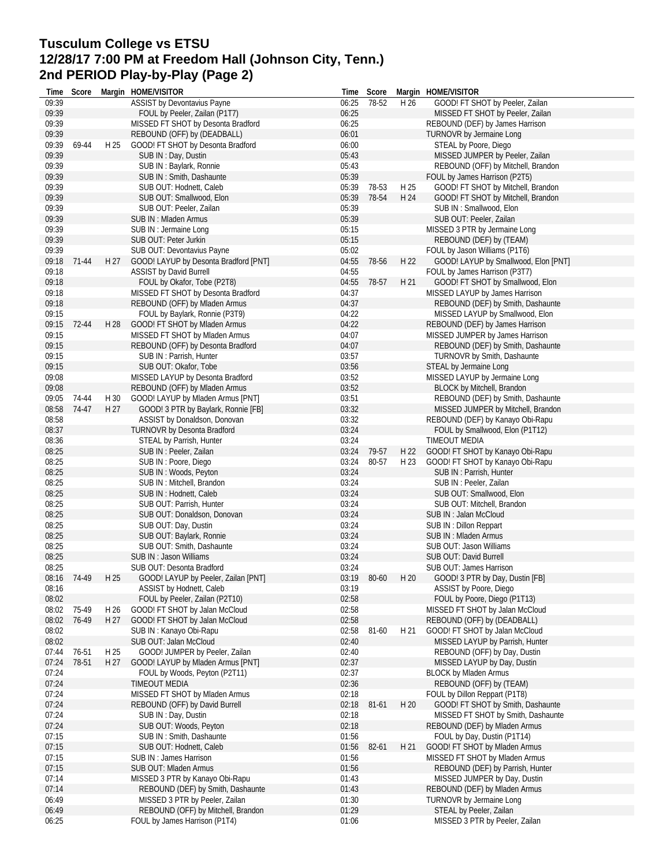# **Tusculum College vs ETSU 12/28/17 7:00 PM at Freedom Hall (Johnson City, Tenn.) 2nd PERIOD Play-by-Play (Page 2)**

| Time  | Score       |      | Margin HOME/VISITOR                   |       | Time Score |      | Margin HOME/VISITOR                  |
|-------|-------------|------|---------------------------------------|-------|------------|------|--------------------------------------|
| 09:39 |             |      | <b>ASSIST by Devontavius Payne</b>    | 06:25 | 78-52      | H 26 | GOOD! FT SHOT by Peeler, Zailan      |
| 09:39 |             |      | FOUL by Peeler, Zailan (P1T7)         | 06:25 |            |      | MISSED FT SHOT by Peeler, Zailan     |
| 09:39 |             |      | MISSED FT SHOT by Desonta Bradford    | 06:25 |            |      | REBOUND (DEF) by James Harrison      |
| 09:39 |             |      | REBOUND (OFF) by (DEADBALL)           | 06:01 |            |      | TURNOVR by Jermaine Long             |
| 09:39 | 69-44       | H 25 | GOOD! FT SHOT by Desonta Bradford     | 06:00 |            |      | STEAL by Poore, Diego                |
| 09:39 |             |      | SUB IN: Day, Dustin                   | 05:43 |            |      | MISSED JUMPER by Peeler, Zailan      |
| 09:39 |             |      | SUB IN: Baylark, Ronnie               | 05:43 |            |      | REBOUND (OFF) by Mitchell, Brandon   |
| 09:39 |             |      | SUB IN: Smith, Dashaunte              | 05:39 |            |      | FOUL by James Harrison (P2T5)        |
| 09:39 |             |      | SUB OUT: Hodnett, Caleb               | 05:39 | 78-53      | H 25 | GOOD! FT SHOT by Mitchell, Brandon   |
| 09:39 |             |      | SUB OUT: Smallwood, Elon              | 05:39 | 78-54      | H 24 | GOOD! FT SHOT by Mitchell, Brandon   |
| 09:39 |             |      | SUB OUT: Peeler, Zailan               | 05:39 |            |      | SUB IN: Smallwood, Elon              |
| 09:39 |             |      | SUB IN: Mladen Armus                  | 05:39 |            |      | SUB OUT: Peeler, Zailan              |
| 09:39 |             |      | SUB IN : Jermaine Long                | 05:15 |            |      | MISSED 3 PTR by Jermaine Long        |
| 09:39 |             |      | SUB OUT: Peter Jurkin                 | 05:15 |            |      | REBOUND (DEF) by (TEAM)              |
| 09:39 |             |      |                                       | 05:02 |            |      | FOUL by Jason Williams (P1T6)        |
|       |             |      | SUB OUT: Devontavius Payne            |       |            |      |                                      |
| 09:18 | 71-44       | H 27 | GOOD! LAYUP by Desonta Bradford [PNT] | 04:55 | 78-56      | H 22 | GOOD! LAYUP by Smallwood, Elon [PNT] |
| 09:18 |             |      | <b>ASSIST by David Burrell</b>        | 04:55 |            |      | FOUL by James Harrison (P3T7)        |
| 09:18 |             |      | FOUL by Okafor, Tobe (P2T8)           | 04:55 | 78-57      | H 21 | GOOD! FT SHOT by Smallwood, Elon     |
| 09:18 |             |      | MISSED FT SHOT by Desonta Bradford    | 04:37 |            |      | MISSED LAYUP by James Harrison       |
| 09:18 |             |      | REBOUND (OFF) by Mladen Armus         | 04:37 |            |      | REBOUND (DEF) by Smith, Dashaunte    |
| 09:15 |             |      | FOUL by Baylark, Ronnie (P3T9)        | 04:22 |            |      | MISSED LAYUP by Smallwood, Elon      |
| 09:15 | 72-44       | H 28 | GOOD! FT SHOT by Mladen Armus         | 04:22 |            |      | REBOUND (DEF) by James Harrison      |
| 09:15 |             |      | MISSED FT SHOT by Mladen Armus        | 04:07 |            |      | MISSED JUMPER by James Harrison      |
| 09:15 |             |      | REBOUND (OFF) by Desonta Bradford     | 04:07 |            |      | REBOUND (DEF) by Smith, Dashaunte    |
| 09:15 |             |      | SUB IN: Parrish, Hunter               | 03:57 |            |      | <b>TURNOVR by Smith, Dashaunte</b>   |
| 09:15 |             |      | SUB OUT: Okafor, Tobe                 | 03:56 |            |      | STEAL by Jermaine Long               |
| 09:08 |             |      | MISSED LAYUP by Desonta Bradford      | 03:52 |            |      | MISSED LAYUP by Jermaine Long        |
| 09:08 |             |      | REBOUND (OFF) by Mladen Armus         | 03:52 |            |      | BLOCK by Mitchell, Brandon           |
| 09:05 | 74-44       | H 30 | GOOD! LAYUP by Mladen Armus [PNT]     | 03:51 |            |      | REBOUND (DEF) by Smith, Dashaunte    |
| 08:58 | 74-47       | H 27 | GOOD! 3 PTR by Baylark, Ronnie [FB]   | 03:32 |            |      | MISSED JUMPER by Mitchell, Brandon   |
| 08:58 |             |      | ASSIST by Donaldson, Donovan          | 03:32 |            |      | REBOUND (DEF) by Kanayo Obi-Rapu     |
| 08:37 |             |      | <b>TURNOVR by Desonta Bradford</b>    | 03:24 |            |      | FOUL by Smallwood, Elon (P1T12)      |
| 08:36 |             |      | STEAL by Parrish, Hunter              | 03:24 |            |      | <b>TIMEOUT MEDIA</b>                 |
| 08:25 |             |      | SUB IN : Peeler, Zailan               | 03:24 | 79-57      | H 22 | GOOD! FT SHOT by Kanayo Obi-Rapu     |
| 08:25 |             |      | SUB IN : Poore, Diego                 | 03:24 | 80-57      | H 23 | GOOD! FT SHOT by Kanayo Obi-Rapu     |
| 08:25 |             |      | SUB IN : Woods, Peyton                | 03:24 |            |      | SUB IN: Parrish, Hunter              |
| 08:25 |             |      | SUB IN: Mitchell, Brandon             | 03:24 |            |      | SUB IN: Peeler, Zailan               |
| 08:25 |             |      | SUB IN: Hodnett, Caleb                | 03:24 |            |      | SUB OUT: Smallwood, Elon             |
| 08:25 |             |      | SUB OUT: Parrish, Hunter              | 03:24 |            |      | SUB OUT: Mitchell, Brandon           |
| 08:25 |             |      | SUB OUT: Donaldson, Donovan           | 03:24 |            |      | SUB IN: Jalan McCloud                |
| 08:25 |             |      | SUB OUT: Day, Dustin                  | 03:24 |            |      | SUB IN : Dillon Reppart              |
| 08:25 |             |      | SUB OUT: Baylark, Ronnie              | 03:24 |            |      | SUB IN: Mladen Armus                 |
| 08:25 |             |      | SUB OUT: Smith, Dashaunte             | 03:24 |            |      | SUB OUT: Jason Williams              |
| 08:25 |             |      | SUB IN: Jason Williams                | 03:24 |            |      | SUB OUT: David Burrell               |
| 08:25 |             |      | SUB OUT: Desonta Bradford             | 03:24 |            |      | SUB OUT: James Harrison              |
|       | 08:16 74-49 | H 25 | GOOD! LAYUP by Peeler, Zailan [PNT]   | 03:19 | 80-60      |      | H 20 GOOD! 3 PTR by Day, Dustin [FB] |
| 08:16 |             |      | ASSIST by Hodnett, Caleb              | 03:19 |            |      | ASSIST by Poore, Diego               |
| 08:02 |             |      | FOUL by Peeler, Zailan (P2T10)        | 02:58 |            |      | FOUL by Poore, Diego (P1T13)         |
| 08:02 | 75-49       | H 26 | GOOD! FT SHOT by Jalan McCloud        | 02:58 |            |      | MISSED FT SHOT by Jalan McCloud      |
| 08:02 | 76-49       | H 27 | GOOD! FT SHOT by Jalan McCloud        | 02:58 |            |      | REBOUND (OFF) by (DEADBALL)          |
| 08:02 |             |      | SUB IN: Kanayo Obi-Rapu               | 02:58 | 81-60      | H 21 | GOOD! FT SHOT by Jalan McCloud       |
| 08:02 |             |      | SUB OUT: Jalan McCloud                | 02:40 |            |      | MISSED LAYUP by Parrish, Hunter      |
| 07:44 | 76-51       | H 25 | GOOD! JUMPER by Peeler, Zailan        | 02:40 |            |      | REBOUND (OFF) by Day, Dustin         |
| 07:24 | 78-51       | H 27 | GOOD! LAYUP by Mladen Armus [PNT]     | 02:37 |            |      | MISSED LAYUP by Day, Dustin          |
| 07:24 |             |      | FOUL by Woods, Peyton (P2T11)         | 02:37 |            |      | <b>BLOCK by Mladen Armus</b>         |
| 07:24 |             |      | TIMEOUT MEDIA                         | 02:36 |            |      |                                      |
|       |             |      |                                       |       |            |      | REBOUND (OFF) by (TEAM)              |
| 07:24 |             |      | MISSED FT SHOT by Mladen Armus        | 02:18 |            |      | FOUL by Dillon Reppart (P1T8)        |
| 07:24 |             |      | REBOUND (OFF) by David Burrell        | 02:18 | 81-61      | H 20 | GOOD! FT SHOT by Smith, Dashaunte    |
| 07:24 |             |      | SUB IN: Day, Dustin                   | 02:18 |            |      | MISSED FT SHOT by Smith, Dashaunte   |
| 07:24 |             |      | SUB OUT: Woods, Peyton                | 02:18 |            |      | REBOUND (DEF) by Mladen Armus        |
| 07:15 |             |      | SUB IN: Smith, Dashaunte              | 01:56 |            |      | FOUL by Day, Dustin (P1T14)          |
| 07:15 |             |      | SUB OUT: Hodnett, Caleb               | 01:56 | 82-61      | H 21 | GOOD! FT SHOT by Mladen Armus        |
| 07:15 |             |      | SUB IN : James Harrison               | 01:56 |            |      | MISSED FT SHOT by Mladen Armus       |
| 07:15 |             |      | SUB OUT: Mladen Armus                 | 01:56 |            |      | REBOUND (DEF) by Parrish, Hunter     |
| 07:14 |             |      | MISSED 3 PTR by Kanayo Obi-Rapu       | 01:43 |            |      | MISSED JUMPER by Day, Dustin         |
| 07:14 |             |      | REBOUND (DEF) by Smith, Dashaunte     | 01:43 |            |      | REBOUND (DEF) by Mladen Armus        |
| 06:49 |             |      | MISSED 3 PTR by Peeler, Zailan        | 01:30 |            |      | TURNOVR by Jermaine Long             |
| 06:49 |             |      | REBOUND (OFF) by Mitchell, Brandon    | 01:29 |            |      | STEAL by Peeler, Zailan              |
| 06:25 |             |      | FOUL by James Harrison (P1T4)         | 01:06 |            |      | MISSED 3 PTR by Peeler, Zailan       |
|       |             |      |                                       |       |            |      |                                      |